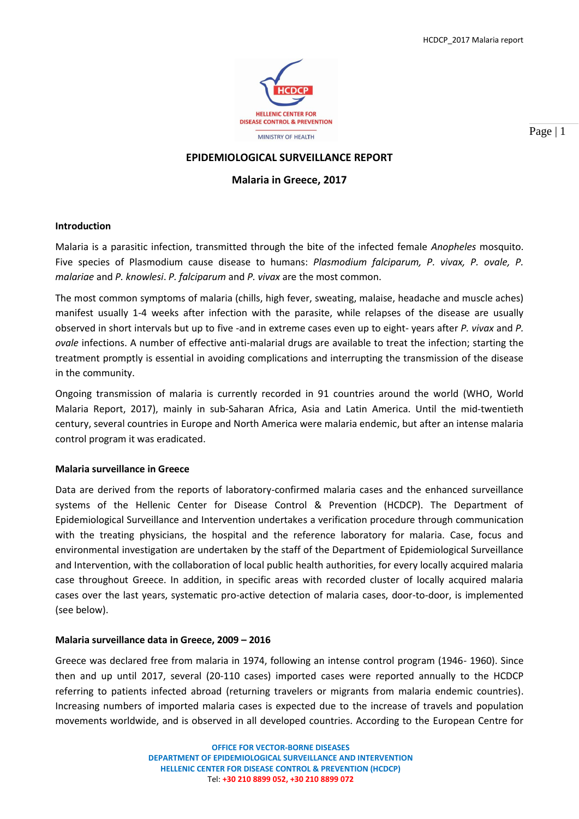

Page | 1

## **EPIDEMIOLOGICAL SURVEILLANCE REPORT**

## **Malaria in Greece, 2017**

### **Introduction**

Malaria is a parasitic infection, transmitted through the bite of the infected female *Anopheles* mosquito. Five species of Plasmodium cause disease to humans: *Plasmodium falciparum, P. vivax, P. ovale, P. malariae* and *P. knowlesi*. *P. falciparum* and *P. vivax* are the most common.

The most common symptoms of malaria (chills, high fever, sweating, malaise, headache and muscle aches) manifest usually 1-4 weeks after infection with the parasite, while relapses of the disease are usually observed in short intervals but up to five -and in extreme cases even up to eight- years after *P. vivax* and *P. ovale* infections. A number of effective anti-malarial drugs are available to treat the infection; starting the treatment promptly is essential in avoiding complications and interrupting the transmission of the disease in the community.

Ongoing transmission of malaria is currently recorded in 91 countries around the world (WHO, World Malaria Report, 2017), mainly in sub-Saharan Africa, Asia and Latin America. Until the mid-twentieth century, several countries in Europe and North America were malaria endemic, but after an intense malaria control program it was eradicated.

### **Malaria surveillance in Greece**

Data are derived from the reports of laboratory-confirmed malaria cases and the enhanced surveillance systems of the Hellenic Center for Disease Control & Prevention (HCDCP). The Department of Epidemiological Surveillance and Intervention undertakes a verification procedure through communication with the treating physicians, the hospital and the reference laboratory for malaria. Case, focus and environmental investigation are undertaken by the staff of the Department of Epidemiological Surveillance and Intervention, with the collaboration of local public health authorities, for every locally acquired malaria case throughout Greece. In addition, in specific areas with recorded cluster of locally acquired malaria cases over the last years, systematic pro-active detection of malaria cases, door-to-door, is implemented (see below).

### **Malaria surveillance data in Greece, 2009 – 2016**

Greece was declared free from malaria in 1974, following an intense control program (1946- 1960). Since then and up until 2017, several (20-110 cases) imported cases were reported annually to the HCDCP referring to patients infected abroad (returning travelers or migrants from malaria endemic countries). Increasing numbers of imported malaria cases is expected due to the increase of travels and population movements worldwide, and is observed in all developed countries. According to the European Centre for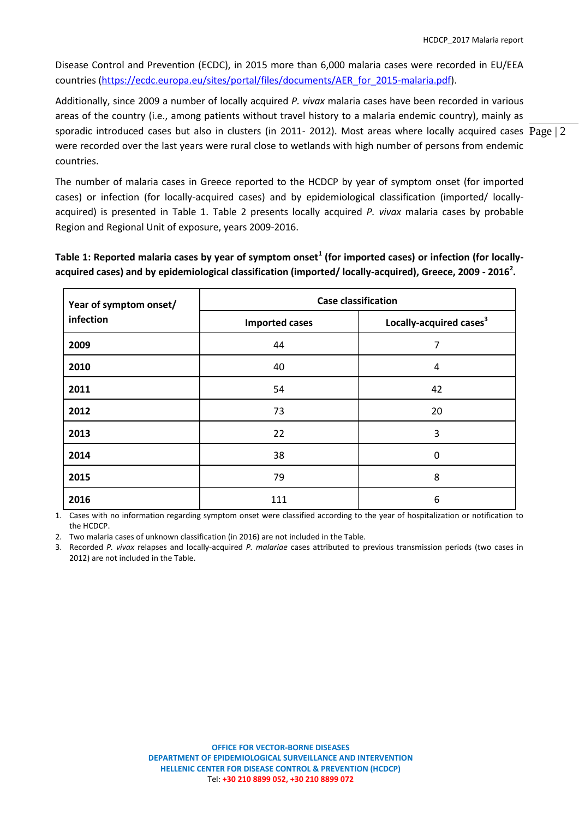Disease Control and Prevention (ECDC), in 2015 more than 6,000 malaria cases were recorded in EU/EEA countries [\(https://ecdc.europa.eu/sites/portal/files/documents/AER\\_for\\_2015-malaria.pdf\)](https://ecdc.europa.eu/sites/portal/files/documents/AER_for_2015-malaria.pdf).

sporadic introduced cases but also in clusters (in 2011- 2012). Most areas where locally acquired cases  $\rm Page$  | 2 Additionally, since 2009 a number of locally acquired *P. vivax* malaria cases have been recorded in various areas of the country (i.e., among patients without travel history to a malaria endemic country), mainly as were recorded over the last years were rural close to wetlands with high number of persons from endemic countries.

The number of malaria cases in Greece reported to the HCDCP by year of symptom onset (for imported cases) or infection (for locally-acquired cases) and by epidemiological classification (imported/ locallyacquired) is presented in Table 1. Table 2 presents locally acquired *P. vivax* malaria cases by probable Region and Regional Unit of exposure, years 2009-2016.

**Table 1: Reported malaria cases by year of symptom onset<sup>1</sup> (for imported cases) or infection (for locallyacquired cases) and by epidemiological classification (imported/ locally-acquired), Greece, 2009 - 2016<sup>2</sup> .**

| Year of symptom onset/<br>infection | <b>Case classification</b> |                                     |  |  |
|-------------------------------------|----------------------------|-------------------------------------|--|--|
|                                     | <b>Imported cases</b>      | Locally-acquired cases <sup>3</sup> |  |  |
| 2009                                | 44                         | 7                                   |  |  |
| 2010                                | 40                         | 4                                   |  |  |
| 2011                                | 54                         | 42                                  |  |  |
| 2012                                | 73                         | 20                                  |  |  |
| 2013                                | 22                         | 3                                   |  |  |
| 2014                                | 38                         | 0                                   |  |  |
| 2015                                | 79                         | 8                                   |  |  |
| 2016                                | 111                        | 6                                   |  |  |

1. Cases with no information regarding symptom onset were classified according to the year of hospitalization or notification to the HCDCP.

2. Two malaria cases of unknown classification (in 2016) are not included in the Table.

3. Recorded *P. vivax* relapses and locally-acquired *P. malariae* cases attributed to previous transmission periods (two cases in 2012) are not included in the Table.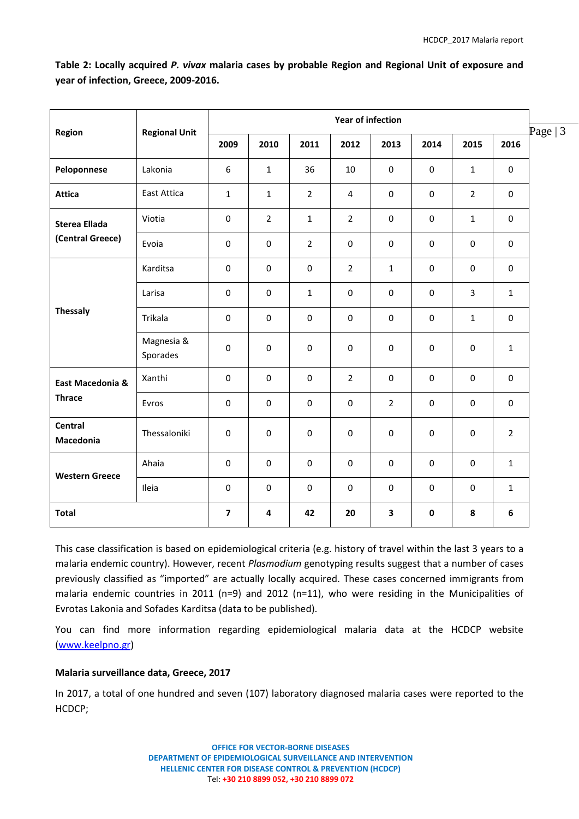| Region                                   | <b>Regional Unit</b>   | <b>Year of infection</b> |                |                  |                  |                |             |                |                |
|------------------------------------------|------------------------|--------------------------|----------------|------------------|------------------|----------------|-------------|----------------|----------------|
|                                          |                        | 2009                     | 2010           | 2011             | 2012             | 2013           | 2014        | 2015           | 2016           |
| Peloponnese                              | Lakonia                | 6                        | $\mathbf{1}$   | 36               | 10               | $\mathbf 0$    | $\pmb{0}$   | $\mathbf{1}$   | $\mathbf 0$    |
| <b>Attica</b>                            | East Attica            | $\mathbf{1}$             | $\mathbf{1}$   | $\overline{2}$   | $\overline{4}$   | $\pmb{0}$      | $\pmb{0}$   | $\overline{2}$ | $\mathbf 0$    |
| <b>Sterea Ellada</b><br>(Central Greece) | Viotia                 | $\pmb{0}$                | $\overline{2}$ | $\mathbf{1}$     | $\overline{2}$   | $\mathbf 0$    | 0           | $\mathbf{1}$   | $\mathbf 0$    |
|                                          | Evoia                  | $\pmb{0}$                | $\pmb{0}$      | $\overline{2}$   | $\pmb{0}$        | $\pmb{0}$      | $\pmb{0}$   | $\pmb{0}$      | $\mathbf 0$    |
| <b>Thessaly</b>                          | Karditsa               | $\mathbf 0$              | $\mathbf 0$    | $\mathbf 0$      | $\overline{2}$   | $\mathbf{1}$   | $\mathbf 0$ | $\mathbf 0$    | 0              |
|                                          | Larisa                 | 0                        | $\mathbf 0$    | $\mathbf{1}$     | $\mathbf 0$      | $\mathbf 0$    | $\mathbf 0$ | $\overline{3}$ | $\mathbf{1}$   |
|                                          | Trikala                | $\pmb{0}$                | $\pmb{0}$      | $\boldsymbol{0}$ | $\boldsymbol{0}$ | $\pmb{0}$      | $\pmb{0}$   | $\mathbf 1$    | $\mathbf 0$    |
|                                          | Magnesia &<br>Sporades | $\mathbf 0$              | $\mathbf 0$    | $\mathbf 0$      | $\mathbf 0$      | $\mathbf 0$    | $\mathbf 0$ | $\pmb{0}$      | $\mathbf{1}$   |
| East Macedonia &<br><b>Thrace</b>        | Xanthi                 | $\pmb{0}$                | $\pmb{0}$      | $\pmb{0}$        | $\overline{2}$   | $\pmb{0}$      | $\pmb{0}$   | $\pmb{0}$      | $\mathbf 0$    |
|                                          | Evros                  | $\mathbf 0$              | $\mathbf 0$    | $\mathbf 0$      | $\mathbf 0$      | $\overline{2}$ | $\mathbf 0$ | $\mathbf 0$    | $\mathbf 0$    |
| <b>Central</b><br>Macedonia              | Thessaloniki           | $\pmb{0}$                | $\pmb{0}$      | $\pmb{0}$        | $\boldsymbol{0}$ | $\pmb{0}$      | $\pmb{0}$   | $\pmb{0}$      | $\overline{2}$ |
| <b>Western Greece</b>                    | Ahaia                  | $\mathbf 0$              | $\mathbf 0$    | $\mathbf 0$      | $\mathbf 0$      | $\mathbf 0$    | $\mathbf 0$ | $\mathbf 0$    | $\mathbf{1}$   |
|                                          | Ileia                  | $\pmb{0}$                | $\pmb{0}$      | $\pmb{0}$        | $\boldsymbol{0}$ | $\pmb{0}$      | $\pmb{0}$   | $\pmb{0}$      | $\mathbf{1}$   |
| <b>Total</b>                             |                        | $\overline{\mathbf{z}}$  | 4              | 42               | 20               | 3              | $\pmb{0}$   | ${\bf 8}$      | 6              |

**Table 2: Locally acquired** *P. vivax* **malaria cases by probable Region and Regional Unit of exposure and year of infection, Greece, 2009-2016.**

This case classification is based on epidemiological criteria (e.g. history of travel within the last 3 years to a malaria endemic country). However, recent *Plasmodium* genotyping results suggest that a number of cases previously classified as "imported" are actually locally acquired. These cases concerned immigrants from malaria endemic countries in 2011 (n=9) and 2012 (n=11), who were residing in the Municipalities of Evrotas Lakonia and Sofades Karditsa (data to be published).

You can find more information regarding epidemiological malaria data at the HCDCP website [\(www.keelpno.gr\)](http://www.keelpno.gr/)

## **Malaria surveillance data, Greece, 2017**

In 2017, a total of one hundred and seven (107) laboratory diagnosed malaria cases were reported to the HCDCP;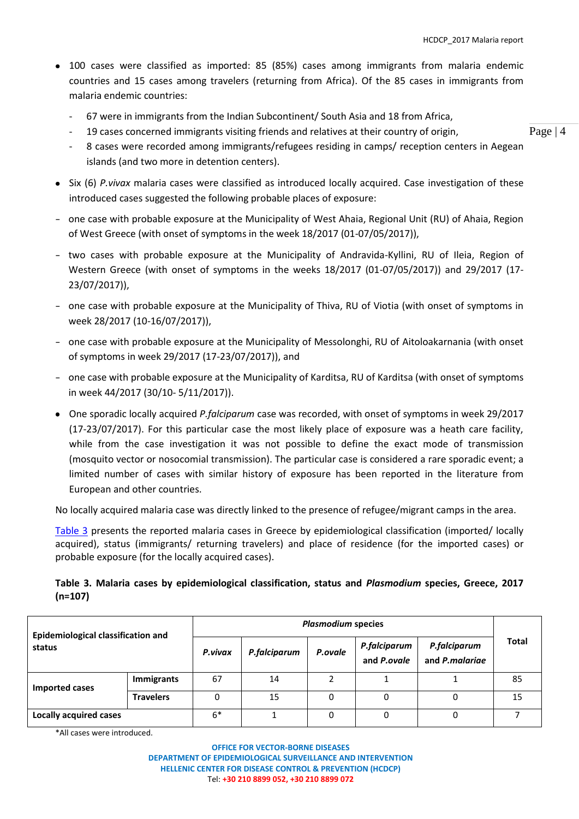- 100 cases were classified as imported: 85 (85%) cases among immigrants from malaria endemic countries and 15 cases among travelers (returning from Africa). Of the 85 cases in immigrants from malaria endemic countries:
	- 67 were in immigrants from the Indian Subcontinent/ South Asia and 18 from Africa,
	- 19 cases concerned immigrants visiting friends and relatives at their country of origin,
	- 8 cases were recorded among immigrants/refugees residing in camps/ reception centers in Aegean islands (and two more in detention centers).
- Six (6) *P.vivax* malaria cases were classified as introduced locally acquired. Case investigation of these introduced cases suggested the following probable places of exposure:
- one case with probable exposure at the Municipality of West Ahaia, Regional Unit (RU) of Ahaia, Region of West Greece (with onset of symptoms in the week 18/2017 (01-07/05/2017)),
- two cases with probable exposure at the Municipality of Andravida-Kyllini, RU of Ileia, Region of Western Greece (with onset of symptoms in the weeks 18/2017 (01-07/05/2017)) and 29/2017 (17- 23/07/2017)),
- one case with probable exposure at the Municipality of Thiva, RU of Viotia (with onset of symptoms in week 28/2017 (10-16/07/2017)),
- one case with probable exposure at the Municipality of Messolonghi, RU of Aitoloakarnania (with onset of symptoms in week 29/2017 (17-23/07/2017)), and
- one case with probable exposure at the Municipality of Karditsa, RU of Karditsa (with onset of symptoms in week 44/2017 (30/10- 5/11/2017)).
- One sporadic locally acquired *P.falciparum* case was recorded, with onset of symptoms in week 29/2017 (17-23/07/2017). For this particular case the most likely place of exposure was a heath care facility, while from the case investigation it was not possible to define the exact mode of transmission (mosquito vector or nosocomial transmission). The particular case is considered a rare sporadic event; a limited number of cases with similar history of exposure has been reported in the literature from European and other countries.

No locally acquired malaria case was directly linked to the presence of refugee/migrant camps in the area.

Table 3 presents the reported malaria cases in Greece by epidemiological classification (imported/ locally acquired), status (immigrants/ returning travelers) and place of residence (for the imported cases) or probable exposure (for the locally acquired cases).

# **Table 3. Malaria cases by epidemiological classification, status and** *Plasmodium* **species, Greece, 2017 (n=107)**

| <b>Epidemiological classification and</b><br>status |                  | <b>Plasmodium species</b> |              |         |                             |                                |       |
|-----------------------------------------------------|------------------|---------------------------|--------------|---------|-----------------------------|--------------------------------|-------|
|                                                     |                  | P.vivax                   | P.falciparum | P.ovale | P.falciparum<br>and P.ovale | P.falciparum<br>and P.malariae | Total |
| Imported cases                                      | Immigrants       | 67                        | 14           |         |                             |                                | 85    |
|                                                     | <b>Travelers</b> | 0                         | 15           |         |                             |                                | 15    |
| <b>Locally acquired cases</b>                       |                  | $6*$                      |              |         | 0                           |                                |       |

\*All cases were introduced.

Page | 4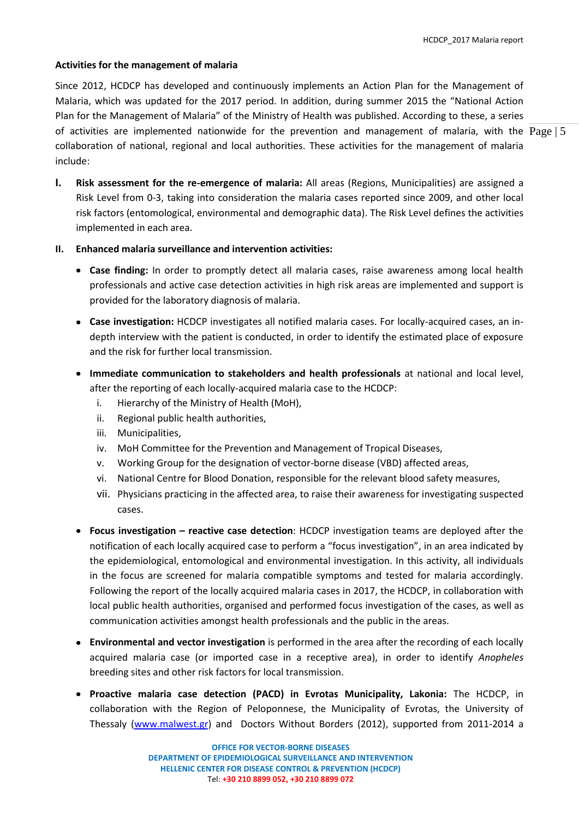### **Activities for the management of malaria**

of activities are implemented nationwide for the prevention and management of malaria, with the  $Page | 5$ Since 2012, HCDCP has developed and continuously implements an Action Plan for the Management of Malaria, which was updated for the 2017 period. In addition, during summer 2015 the "National Action Plan for the Management of Malaria" of the Ministry of Health was published. According to these, a series collaboration of national, regional and local authorities. These activities for the management of malaria include:

**I. Risk assessment for the re-emergence of malaria:** All areas (Regions, Municipalities) are assigned a Risk Level from 0-3, taking into consideration the malaria cases reported since 2009, and other local risk factors (entomological, environmental and demographic data). The Risk Level defines the activities implemented in each area.

## **II. Enhanced malaria surveillance and intervention activities:**

- **Case finding:** In order to promptly detect all malaria cases, raise awareness among local health professionals and active case detection activities in high risk areas are implemented and support is provided for the laboratory diagnosis of malaria.
- **Case investigation:** HCDCP investigates all notified malaria cases. For locally-acquired cases, an indepth interview with the patient is conducted, in order to identify the estimated place of exposure and the risk for further local transmission.
- **Immediate communication to stakeholders and health professionals** at national and local level, after the reporting of each locally-acquired malaria case to the HCDCP:
	- i. Hierarchy of the Ministry of Health (MoH),
	- ii. Regional public health authorities,
	- iii. Municipalities,
	- iv. MoH Committee for the Prevention and Management of Tropical Diseases,
	- v. Working Group for the designation of vector-borne disease (VBD) affected areas,
	- vi. National Centre for Blood Donation, responsible for the relevant blood safety measures,
	- vii. Physicians practicing in the affected area, to raise their awareness for investigating suspected cases.
- **Focus investigation – reactive case detection**: HCDCP investigation teams are deployed after the notification of each locally acquired case to perform a "focus investigation", in an area indicated by the epidemiological, entomological and environmental investigation. In this activity, all individuals in the focus are screened for malaria compatible symptoms and tested for malaria accordingly. Following the report of the locally acquired malaria cases in 2017, the HCDCP, in collaboration with local public health authorities, organised and performed focus investigation of the cases, as well as communication activities amongst health professionals and the public in the areas.
- **Environmental and vector investigation** is performed in the area after the recording of each locally acquired malaria case (or imported case in a receptive area), in order to identify *Anopheles* breeding sites and other risk factors for local transmission.
- **Proactive malaria case detection (PACD) in Evrotas Municipality, Lakonia:** The HCDCP, in collaboration with the Region of Peloponnese, the Municipality of Evrotas, the University of Thessaly [\(www.malwest.gr\)](http://www.malwest.gr/) and Doctors Without Borders (2012), supported from 2011-2014 a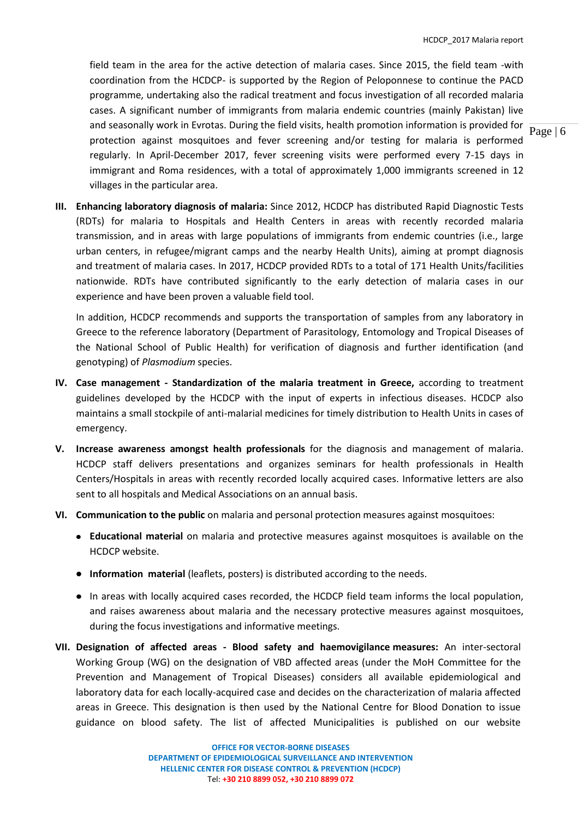field team in the area for the active detection of malaria cases. Since 2015, the field team -with coordination from the HCDCP- is supported by the Region of Peloponnese to continue the PACD programme, undertaking also the radical treatment and focus investigation of all recorded malaria cases. A significant number of immigrants from malaria endemic countries (mainly Pakistan) live and seasonally work in Evrotas. During the field visits, health promotion information is provided for protection against mosquitoes and fever screening and/or testing for malaria is performed regularly. In April-December 2017, fever screening visits were performed every 7-15 days in immigrant and Roma residences, with a total of approximately 1,000 immigrants screened in 12 villages in the particular area.

**III. Enhancing laboratory diagnosis of malaria:** Since 2012, HCDCP has distributed Rapid Diagnostic Tests (RDTs) for malaria to Hospitals and Health Centers in areas with recently recorded malaria transmission, and in areas with large populations of immigrants from endemic countries (i.e., large urban centers, in refugee/migrant camps and the nearby Health Units), aiming at prompt diagnosis and treatment of malaria cases. In 2017, HCDCP provided RDTs to a total of 171 Health Units/facilities nationwide. RDTs have contributed significantly to the early detection of malaria cases in our experience and have been proven a valuable field tool.

In addition, HCDCP recommends and supports the transportation of samples from any laboratory in Greece to the reference laboratory (Department of Parasitology, Entomology and Tropical Diseases of the National School of Public Health) for verification of diagnosis and further identification (and genotyping) of *Plasmodium* species.

- **IV. Case management - Standardization of the malaria treatment in Greece,** according to treatment guidelines developed by the HCDCP with the input of experts in infectious diseases. HCDCP also maintains a small stockpile of anti-malarial medicines for timely distribution to Health Units in cases of emergency.
- **V. Increase awareness amongst health professionals** for the diagnosis and management of malaria. HCDCP staff delivers presentations and organizes seminars for health professionals in Health Centers/Hospitals in areas with recently recorded locally acquired cases. Informative letters are also sent to all hospitals and Medical Associations on an annual basis.
- **VI. Communication to the public** on malaria and personal protection measures against mosquitoes:
	- **Educational material** on malaria and protective measures against mosquitoes is available on the HCDCP website.
	- **Information material** (leaflets, posters) is distributed according to the needs.
	- In areas with locally acquired cases recorded, the HCDCP field team informs the local population, and raises awareness about malaria and the necessary protective measures against mosquitoes, during the focus investigations and informative meetings.
- **VII. Designation of affected areas - Blood safety and haemovigilance measures:** An inter-sectoral Working Group (WG) on the designation of VBD affected areas (under the MoH Committee for the Prevention and Management of Tropical Diseases) considers all available epidemiological and laboratory data for each locally-acquired case and decides on the characterization of malaria affected areas in Greece. This designation is then used by the National Centre for Blood Donation to issue guidance on blood safety. The list of affected Municipalities is published on our website

Page | 6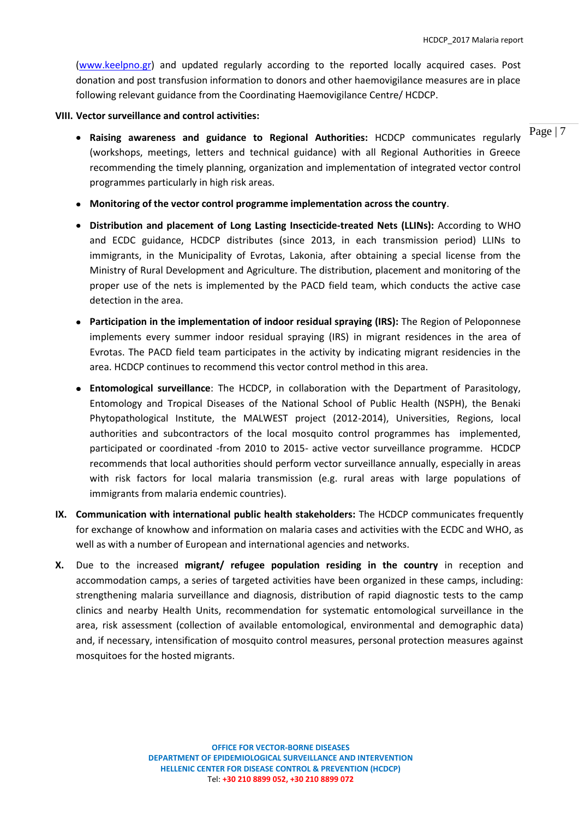[\(www.keelpno.gr\)](http://www.keelpno.gr/) and updated regularly according to the reported locally acquired cases. Post donation and post transfusion information to donors and other haemovigilance measures are in place following relevant guidance from the Coordinating Haemovigilance Centre/ HCDCP.

### **VIII. Vector surveillance and control activities:**

- **Raising awareness and guidance to Regional Authorities:** HCDCP communicates regularly (workshops, meetings, letters and technical guidance) with all Regional Authorities in Greece recommending the timely planning, organization and implementation of integrated vector control programmes particularly in high risk areas.
- **Monitoring of the vector control programme implementation across the country**.
- **Distribution and placement of Long Lasting Insecticide-treated Nets (LLINs):** According to WHO and ECDC guidance, HCDCP distributes (since 2013, in each transmission period) LLINs to immigrants, in the Municipality of Evrotas, Lakonia, after obtaining a special license from the Ministry of Rural Development and Agriculture. The distribution, placement and monitoring of the proper use of the nets is implemented by the PACD field team, which conducts the active case detection in the area.
- **Participation in the implementation of indoor residual spraying (IRS):** The Region of Peloponnese implements every summer indoor residual spraying (IRS) in migrant residences in the area of Evrotas. The PACD field team participates in the activity by indicating migrant residencies in the area. HCDCP continues to recommend this vector control method in this area.
- **Entomological surveillance**: The HCDCP, in collaboration with the Department of Parasitology, Entomology and Tropical Diseases of the National School of Public Health (NSPH), the Benaki Phytopathological Institute, the MALWEST project (2012-2014), Universities, Regions, local authorities and subcontractors of the local mosquito control programmes has implemented, participated or coordinated -from 2010 to 2015- active vector surveillance programme. HCDCP recommends that local authorities should perform vector surveillance annually, especially in areas with risk factors for local malaria transmission (e.g. rural areas with large populations of immigrants from malaria endemic countries).
- **IX. Communication with international public health stakeholders:** The HCDCP communicates frequently for exchange of knowhow and information on malaria cases and activities with the ECDC and WHO, as well as with a number of European and international agencies and networks.
- **X.** Due to the increased **migrant/ refugee population residing in the country** in reception and accommodation camps, a series of targeted activities have been organized in these camps, including: strengthening malaria surveillance and diagnosis, distribution of rapid diagnostic tests to the camp clinics and nearby Health Units, recommendation for systematic entomological surveillance in the area, risk assessment (collection of available entomological, environmental and demographic data) and, if necessary, intensification of mosquito control measures, personal protection measures against mosquitoes for the hosted migrants.

Page | 7